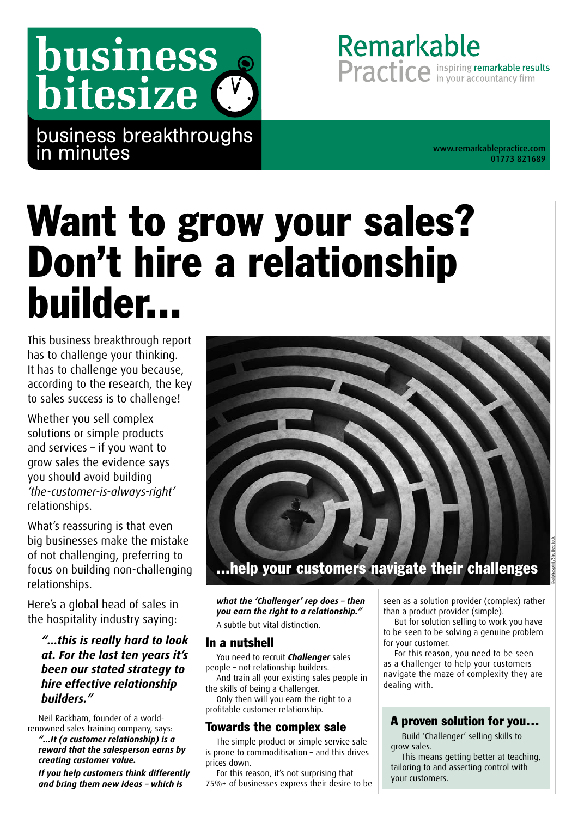# business bitesize (

business breakthroughs in minutes [www.remarkablepractice.com](http://www.remarkablepractice.com)

01773 821689

Remarkable

Practice in your accountancy firm

# Want to grow your sales? Don't hire a relationship builder...

This business breakthrough report has to challenge your thinking. It has to challenge you because, according to the research, the key to sales success is to challenge!

Whether you sell complex solutions or simple products and services – if you want to grow sales the evidence says you should avoid building *'the-customer-is-always-right'* relationships.

What's reassuring is that even big businesses make the mistake of not challenging, preferring to focus on building non-challenging relationships.

Here's a global head of sales in the hospitality industry saying:

*"...this is really hard to look at. For the last ten years it's been our stated strategy to hire effective relationship builders."*

Neil Rackham, founder of a worldrenowned sales training company, says:

*"...It (a customer relationship) is a reward that the salesperson earns by creating customer value.* 

*If you help customers think differently and bring them new ideas – which is* 



*what the 'Challenger' rep does – then you earn the right to a relationship."* A subtle but vital distinction.

#### In a nutshell

You need to recruit *Challenger* sales people – not relationship builders.

And train all your existing sales people in the skills of being a Challenger.

Only then will you earn the right to a profitable customer relationship.

#### Towards the complex sale

The simple product or simple service sale is prone to commoditisation – and this drives prices down.

For this reason, it's not surprising that 75%+ of businesses express their desire to be seen as a solution provider (complex) rather than a product provider (simple).

But for solution selling to work you have to be seen to be solving a genuine problem for your customer.

For this reason, you need to be seen as a Challenger to help your customers navigate the maze of complexity they are dealing with.

#### A proven solution for you…

Build 'Challenger' selling skills to grow sales.

This means getting better at teaching, tailoring to and asserting control with your customers.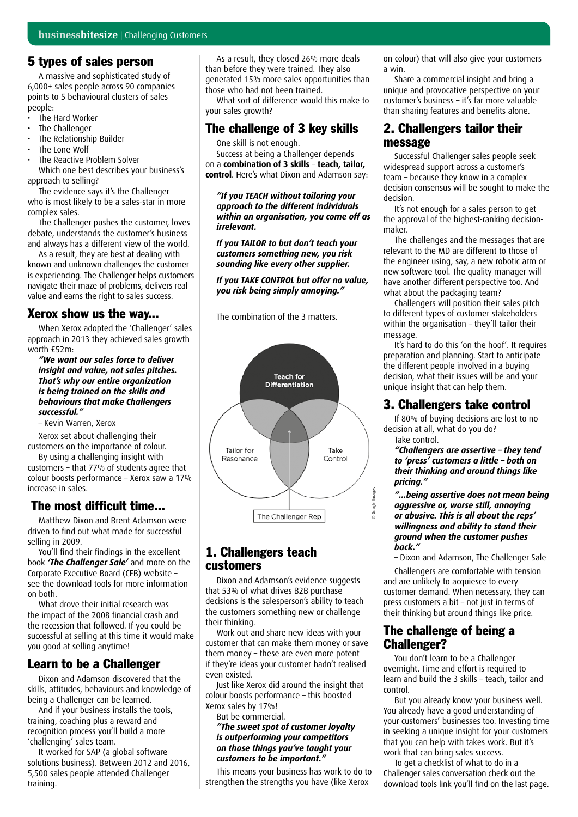#### 5 types of sales person

A massive and sophisticated study of 6,000+ sales people across 90 companies points to 5 behavioural clusters of sales people:

- The Hard Worker
- The Challenger
- The Relationship Builder
- The Lone Wolf
- The Reactive Problem Solver

Which one best describes your business's approach to selling?

The evidence says it's the Challenger who is most likely to be a sales-star in more complex sales.

The Challenger pushes the customer, loves debate, understands the customer's business and always has a different view of the world.

As a result, they are best at dealing with known and unknown challenges the customer is experiencing. The Challenger helps customers navigate their maze of problems, delivers real value and earns the right to sales success.

#### Xerox show us the way...

When Xerox adopted the 'Challenger' sales approach in 2013 they achieved sales growth worth  $f52m$ :

*"We want our sales force to deliver insight and value, not sales pitches. That's why our entire organization is being trained on the skills and behaviours that make Challengers successful."* 

– Kevin Warren, Xerox

Xerox set about challenging their customers on the importance of colour.

By using a challenging insight with customers – that 77% of students agree that colour boosts performance – Xerox saw a 17% increase in sales.

#### The most difficult time...

Matthew Dixon and Brent Adamson were driven to find out what made for successful selling in 2009.

You'll find their findings in the excellent book *'The Challenger Sale'* and more on the Corporate Executive Board (CEB) website – see the download tools for more information on both.

What drove their initial research was the impact of the 2008 financial crash and the recession that followed. If you could be successful at selling at this time it would make you good at selling anytime!

#### Learn to be a Challenger

Dixon and Adamson discovered that the skills, attitudes, behaviours and knowledge of being a Challenger can be learned.

And if your business installs the tools, training, coaching plus a reward and recognition process you'll build a more 'challenging' sales team.

It worked for SAP (a global software solutions business). Between 2012 and 2016, 5,500 sales people attended Challenger training.

As a result, they closed 26% more deals than before they were trained. They also generated 15% more sales opportunities than those who had not been trained.

What sort of difference would this make to your sales growth?

#### The challenge of 3 key skills

One skill is not enough.

Success at being a Challenger depends on a **combination of 3 skills** – **teach, tailor, control**. Here's what Dixon and Adamson say:

*"If you TEACH without tailoring your approach to the different individuals within an organisation, you come off as irrelevant.*

*If you TAILOR to but don't teach your customers something new, you risk sounding like every other supplier.* 

*If you TAKE CONTROL but offer no value, you risk being simply annoying."*

The combination of the 3 matters.



#### 1. Challengers teach customers

Dixon and Adamson's evidence suggests that 53% of what drives B2B purchase decisions is the salesperson's ability to teach the customers something new or challenge their thinking.

Work out and share new ideas with your customer that can make them money or save them money – these are even more potent if they're ideas your customer hadn't realised even existed.

Just like Xerox did around the insight that colour boosts performance – this boosted Xerox sales by 17%!

But be commercial.

#### *"The sweet spot of customer loyalty is outperforming your competitors on those things you've taught your customers to be important."*

This means your business has work to do to strengthen the strengths you have (like Xerox

on colour) that will also give your customers a win.

Share a commercial insight and bring a unique and provocative perspective on your customer's business – it's far more valuable than sharing features and benefits alone.

#### 2. Challengers tailor their message

Successful Challenger sales people seek widespread support across a customer's team – because they know in a complex decision consensus will be sought to make the decision.

It's not enough for a sales person to get the approval of the highest-ranking decisionmaker.

The challenges and the messages that are relevant to the MD are different to those of the engineer using, say, a new robotic arm or new software tool. The quality manager will have another different perspective too. And what about the packaging team?

Challengers will position their sales pitch to different types of customer stakeholders within the organisation – they'll tailor their message.

It's hard to do this 'on the hoof'. It requires preparation and planning. Start to anticipate the different people involved in a buying decision, what their issues will be and your unique insight that can help them.

### 3. Challengers take control

If 80% of buying decisions are lost to no decision at all, what do you do?

Take control.

*"Challengers are assertive – they tend to 'press' customers a little – both on their thinking and around things like pricing."*

*"...being assertive does not mean being aggressive or, worse still, annoying or abusive. This is all about the reps' willingness and ability to stand their ground when the customer pushes back."*

– Dixon and Adamson, The Challenger Sale

Challengers are comfortable with tension and are unlikely to acquiesce to every customer demand. When necessary, they can press customers a bit – not just in terms of their thinking but around things like price.

#### The challenge of being a Challenger?

You don't learn to be a Challenger overnight. Time and effort is required to learn and build the 3 skills – teach, tailor and control.

But you already know your business well. You already have a good understanding of your customers' businesses too. Investing time in seeking a unique insight for your customers that you can help with takes work. But it's work that can bring sales success.

To get a checklist of what to do in a Challenger sales conversation check out the download tools link you'll find on the last page.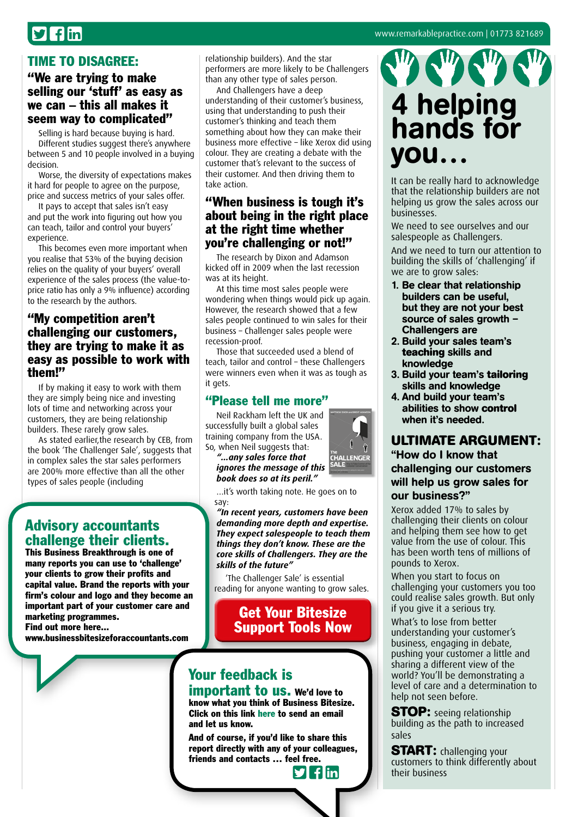## $\mathbf{y}$  fin

#### TIME TO DISAGREE:

#### "We are trying to make selling our 'stuff' as easy as we can – this all makes it seem way to complicated"

Selling is hard because buying is hard. Different studies suggest there's anywhere between 5 and 10 people involved in a buying decision.

Worse, the diversity of expectations makes it hard for people to agree on the purpose, price and success metrics of your sales offer.

It pays to accept that sales isn't easy and put the work into figuring out how you can teach, tailor and control your buyers' experience.

This becomes even more important when you realise that 53% of the buying decision relies on the quality of your buyers' overall experience of the sales process (the value-toprice ratio has only a 9% influence) according to the research by the authors.

#### "My competition aren't challenging our customers, they are trying to make it as easy as possible to work with them!"

If by making it easy to work with them they are simply being nice and investing lots of time and networking across your customers, they are being relationship builders. These rarely grow sales.

As stated earlier,the research by CEB, from the book 'The Challenger Sale', suggests that in complex sales the star sales performers are 200% more effective than all the other types of sales people (including

#### Advisory accountants challenge their clients.

This Business Breakthrough is one of many reports you can use to 'challenge' your clients to grow their profits and capital value. Brand the reports with your firm's colour and logo and they become an important part of your customer care and marketing programmes. Find out more here...

[www.businessbitesizeforaccountants.com](http://www.businessbitesizeforaccountants.com)

relationship builders). And the star performers are more likely to be Challengers than any other type of sales person.

And Challengers have a deep understanding of their customer's business, using that understanding to push their customer's thinking and teach them something about how they can make their business more effective – like Xerox did using colour. They are creating a debate with the customer that's relevant to the success of their customer. And then driving them to take action.

#### "When business is tough it's about being in the right place at the right time whether you're challenging or not!"

The research by Dixon and Adamson kicked off in 2009 when the last recession was at its height.

At this time most sales people were wondering when things would pick up again. However, the research showed that a few sales people continued to win sales for their business – Challenger sales people were recession-proof.

Those that succeeded used a blend of teach, tailor and control – these Challengers were winners even when it was as tough as it gets.

#### "Please tell me more"

Neil Rackham left the UK and successfully built a global sales training company from the USA. So, when Neil suggests that:

*"...any sales force that ignores the message of this book does so at its peril."*

…it's worth taking note. He goes on to say:

*"In recent years, customers have been demanding more depth and expertise. They expect salespeople to teach them things they don't know. These are the core skills of Challengers. They are the skills of the future"* 

'The Challenger Sale' is essential reading for anyone wanting to grow sales.

#### Get Your Bitesize [Support Tools Now](http://bit.ly/toolschallenging)



important to us. We'd love to know what you think of Business Bitesize. Click on this link [here](mailto:Kelly%40remarkablepractice.com?subject=Business%20Bitesize) to send an email and let us know.

And of course, if you'd like to share this report directly with any of your colleagues, friends and contacts … f[eel fr](http://twitter.com/intent/tweet?text=Check%20out%20this%20library%20of%20great%20business%20insights%20http://www.businessbitesize.com/remarkable_practice)[ee.](http://www.facebook.com/sharer/sharer.phpu=http://www.businessbitesize.com/remarkable_practice)

 $\blacktriangleright$  fin

## 4 helping hands for you…

It can be really hard to acknowledge that the relationship builders are not helping us grow the sales across our businesses.

We need to see ourselves and our salespeople as Challengers.

And we need to turn our attention to building the skills of 'challenging' if we are to grow sales:

- 1. Be clear that relationship builders can be useful, but they are not your best source of sales growth -Challengers are
- 2. Build your sales team's **teaching** skills and knowledge
- 3. Build your team's **tailoring** skills and knowledge
- 4. And build your team's abilities to show **control** when it's needed.

#### **ULTIMATE ARGUMENT:**

"How do I know that challenging our customers will help us grow sales for our business?"

Xerox added 17% to sales by challenging their clients on colour and helping them see how to get value from the use of colour. This has been worth tens of millions of pounds to Xerox.

When you start to focus on challenging your customers you too could realise sales growth. But only if you give it a serious try.

What's to lose from better understanding your customer's business, engaging in debate, pushing your customer a little and sharing a different view of the world? You'll be demonstrating a level of care and a determination to help not seen before.

**STOP:** seeing relationship building as the path to increased sales

**START:** challenging your customers to think differently about their business